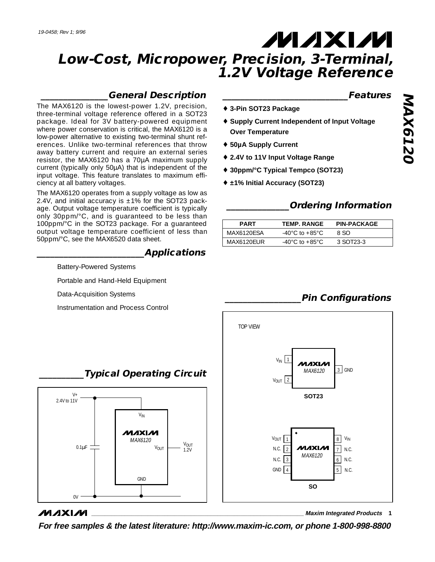# **MAXM**

## **Low-Cost, Micropower, Precision, 3-Terminal, 1.2V Voltage Reference**

### **\_\_\_\_\_\_\_\_\_\_\_\_\_\_\_General Description**

The MAX6120 is the lowest-power 1.2V, precision, three-terminal voltage reference offered in a SOT23 package. Ideal for 3V battery-powered equipment where power conservation is critical, the MAX6120 is a low-power alternative to existing two-terminal shunt references. Unlike two-terminal references that throw away battery current and require an external series resistor, the MAX6120 has a 70µA maximum supply current (typically only 50µA) that is independent of the input voltage. This feature translates to maximum efficiency at all battery voltages.

The MAX6120 operates from a supply voltage as low as 2.4V, and initial accuracy is  $\pm 1\%$  for the SOT23 package. Output voltage temperature coefficient is typically only 30ppm/°C, and is guaranteed to be less than 100ppm/°C in the SOT23 package. For a guaranteed output voltage temperature coefficient of less than 50ppm/°C, see the MAX6520 data sheet.

#### **\_\_\_\_\_\_\_\_\_\_\_\_\_\_\_\_\_\_\_\_\_\_\_\_Applications**

Battery-Powered Systems

Portable and Hand-Held Equipment

Data-Acquisition Systems

Instrumentation and Process Control

#### **\_\_\_\_\_\_\_\_\_\_\_\_\_\_\_\_\_\_\_\_\_\_\_\_\_\_\_\_Features**

- ♦ **3-Pin SOT23 Package**
- ♦ **Supply Current Independent of Input Voltage Over Temperature**
- ♦ **50µA Supply Current**
- ♦ **2.4V to 11V Input Voltage Range**
- ♦ **30ppm/°C Typical Tempco (SOT23)**
- ♦ **±1% Initial Accuracy (SOT23)**

### **\_\_\_\_\_\_\_\_\_\_\_\_\_\_Ordering Information**

| <b>PART</b> | TEMP. RANGE     | <b>PIN-PACKAGE</b> |
|-------------|-----------------|--------------------|
| MAX6120ESA  | -40°C to +85°C. | 8.SO               |
| MAX6120EUR  | -40°C to +85°C. | 3 SOT23-3          |

### **\_\_\_\_\_\_\_\_\_\_\_\_\_\_\_\_\_Pin Configurations**



### **MAXM**

**\_\_\_\_\_\_\_\_\_\_\_\_\_\_\_\_\_\_\_\_\_\_\_\_\_\_\_\_\_\_\_\_\_\_\_\_\_\_\_\_\_\_\_\_\_\_\_\_\_\_\_\_\_\_\_\_\_\_\_\_\_\_\_\_ Maxim Integrated Products 1**

**For free samples & the latest literature: http://www.maxim-ic.com, or phone 1-800-998-8800**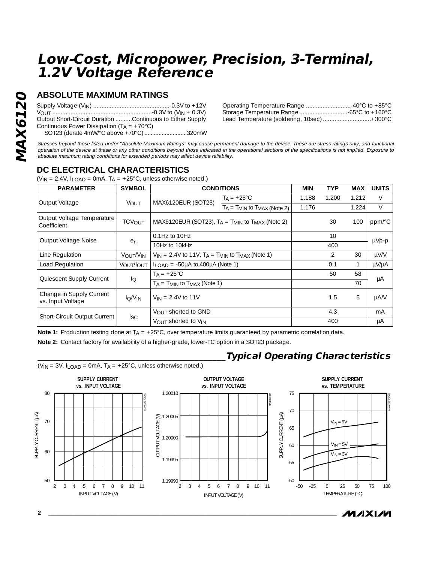### **Low-Cost, Micropower, Precision, 3-Terminal, 1.2V Voltage Reference**

### **ABSOLUTE MAXIMUM RATINGS**

| Output Short-Circuit Duration Continuous to Either Supply |  |
|-----------------------------------------------------------|--|
| Continuous Power Dissipation $(T_A = +70^{\circ}C)$       |  |
| SOT23 (derate 4mW/°C above +70°C) 320mW                   |  |

| Operating Temperature Range 40°C to +85°C  |  |
|--------------------------------------------|--|
|                                            |  |
| Lead Temperature (soldering, 10sec) +300°C |  |

Stresses beyond those listed under "Absolute Maximum Ratings" may cause permanent damage to the device. These are stress ratings only, and functional operation of the device at these or any other conditions beyond those indicated in the operational sections of the specifications is not implied. Exposure to absolute maximum rating conditions for extended periods may affect device reliability.

### **DC ELECTRICAL CHARACTERISTICS**

 $(V_{IN} = 2.4V, I_{LOAD} = 0mA, T_A = +25°C, unless otherwise noted.)$ 

| <b>PARAMETER</b>                              | <b>SYMBOL</b>                   | <b>CONDITIONS</b>                                               |                                         | <b>MIN</b> | <b>TYP</b>     | <b>MAX</b> | <b>UNITS</b> |
|-----------------------------------------------|---------------------------------|-----------------------------------------------------------------|-----------------------------------------|------------|----------------|------------|--------------|
| Output Voltage                                | VOUT                            | MAX6120EUR (SOT23)                                              | $T_A = +25^{\circ}C$                    | 1.188      | 1.200          | 1.212      | V            |
|                                               |                                 |                                                                 | $T_A$ = $T_{MIN}$ to $T_{MAX}$ (Note 2) | 1.176      |                | 1.224      | V            |
| Output Voltage Temperature<br>Coefficient     | <b>TCVOUT</b>                   | MAX6120EUR (SOT23), $T_A = T_{MIN}$ to $T_{MAX}$ (Note 2)       |                                         |            | 30             | 100        | ppm/°C       |
| Output Voltage Noise                          | e <sub>n</sub>                  | $0.1$ Hz to $10$ Hz                                             |                                         |            | 10             |            | $\mu Vp-p$   |
|                                               |                                 | 10Hz to 10kHz                                                   |                                         |            | 400            |            |              |
| Line Regulation                               | VOUT/VIN                        | $V_{IN}$ = 2.4V to 11V, $T_A$ = $T_{MIN}$ to $T_{MAX}$ (Note 1) |                                         |            | $\overline{2}$ | 30         | µV/V         |
| Load Regulation                               | VOUT/IOUT                       | $I_{LOAD}$ = -50µA to 400µA (Note 1)                            |                                         |            | 0.1            |            | µV/µA        |
| Quiescent Supply Current                      | lo                              | $T_A = +25^{\circ}C$                                            |                                         |            | 50             | 58         | μA           |
|                                               |                                 | $T_A = T_{MIN}$ to $T_{MAX}$ (Note 1)                           |                                         |            |                | 70         |              |
| Change in Supply Current<br>vs. Input Voltage | I <sub>O</sub> /V <sub>IN</sub> | $V_{IN} = 2.4V$ to 11V                                          |                                         |            | 1.5            | 5          | $\mu$ A/V    |
| <b>Short-Circuit Output Current</b>           | lsc.                            | VOUT shorted to GND                                             |                                         |            | 4.3            |            | mA           |
|                                               |                                 | VOUT shorted to VIN                                             |                                         |            | 400            |            | μA           |

**Note 1:** Production testing done at T<sub>A</sub> = +25°C, over temperature limits guaranteed by parametric correlation data.

**Note 2:** Contact factory for availability of a higher-grade, lower-TC option in a SOT23 package.



**\_\_\_\_\_\_\_\_\_\_\_\_\_\_\_\_\_\_\_\_\_\_\_\_\_\_\_\_\_\_\_\_\_\_\_\_\_\_\_\_\_\_Typical Operating Characteristics**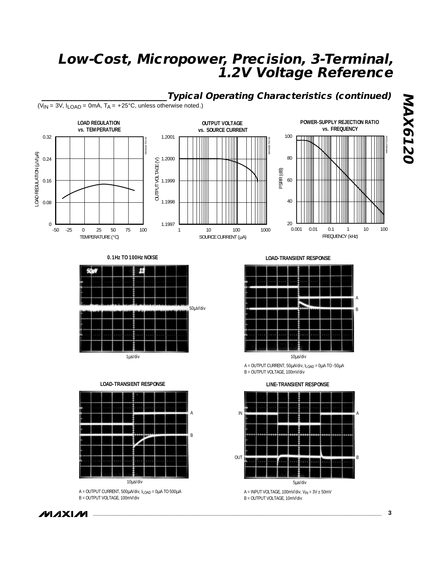### **Low-Cost, Micropower, Precision, 3-Terminal, 1.2V Voltage Reference**



**0.1Hz TO 100Hz NOISE**



1µs/div





A = OUTPUT CURRENT, 500µA/div, ILOAD = 0µA TO 500µA B = OUTPUT VOLTAGE, 100mV/div

**LOAD-TRANSIENT RESPONSE**



 $A = 0$ UTPUT CURRENT, 50 $\mu$ A/div, I<sub>LOAD</sub> = 0 $\mu$ A TO -50 $\mu$ A B = OUTPUT VOLTAGE, 100mV/div

**LINE-TRANSIENT RESPONSE**



B = OUTPUT VOLTAGE, 10mV/div

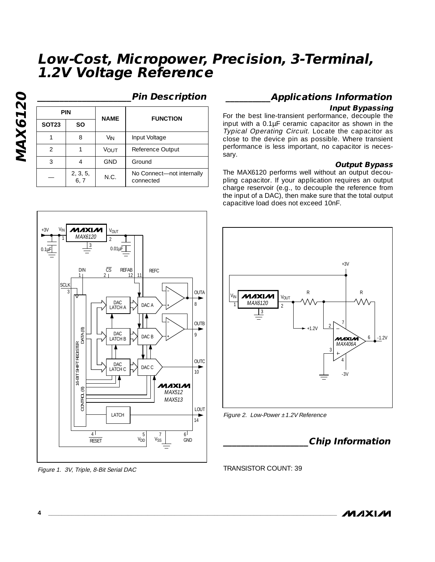### **Low-Cost, Micropower, Precision, 3-Terminal, 1.2V Voltage Reference**

**MAX6120 MAX6120**

### **\_\_\_\_\_\_\_\_\_\_\_\_\_\_\_\_\_\_\_\_\_Pin Description**

No Connect—not internally

connected — N.C.

**NAME FUNCTION**

3 | 4 | GND | Ground

2, 3, 5, 6, 7

4

1 8

**PIN**

**SOT23 SO**

2 | 1 | VOUT | Reference Output 1 | 8 | V<sub>IN</sub> | Input Voltage

#### $V_{IN}$  MAXLM  $|V_{OUT}|$ +3V  $\frac{1}{1}$  MAX6120 2 3  $0.1 \mu F$  $0.01 \mu \overline{F}$  $\overline{CS}$  REFAB RFFC DIN 1 2 12 11 SCL OUTA 3 DAC 8 LATCH A  $\Box$  DAC A OUTB  $\widehat{\infty}$ CONTROL (8) DATA (8) DAC  $\circ$ DATA LATCH B  $\Box$  DAC B 16-BIT SHIFT REGISTER **16-BIT SHIFT REGIST OUTC** DAC DAC C  $\overrightarrow{10}$ LATCH C MAXIM  $\circledR$ MAX512 CONTROL MAX513 LOUT **LATCH** , 14  $\frac{4 \text{ L}}{\text{RESET}}$   $\frac{5}{\text{V}}$   $\frac{7}{\text{V}}$   $\frac{6 \text{ L}}{\text{GND}}$ 4 1 5 7 6

Figure 1. 3V, Triple, 8-Bit Serial DAC

### **\_\_\_\_\_\_\_\_\_\_Applications Information**

#### **Input Bypassing**

For the best line-transient performance, decouple the input with a 0.1µF ceramic capacitor as shown in the Typical Operating Circuit. Locate the capacitor as close to the device pin as possible. Where transient performance is less important, no capacitor is necessary.

#### **Output Bypass**

The MAX6120 performs well without an output decoupling capacitor. If your application requires an output charge reservoir (e.g., to decouple the reference from the input of a DAC), then make sure that the total output capacitive load does not exceed 10nF.





### **\_\_\_\_\_\_\_\_\_\_\_\_\_\_\_\_\_\_\_Chip Information**

TRANSISTOR COUNT: 39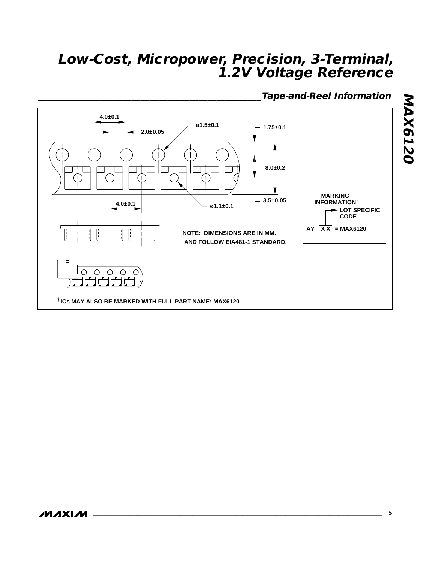### **Low-Cost, Micropower, Precision, 3-Terminal, 1.2V Voltage Reference**

**\_\_\_\_\_\_\_\_\_\_\_\_\_\_\_\_\_\_\_\_\_\_\_\_\_\_\_\_\_\_\_\_\_\_\_\_\_\_\_\_\_\_\_\_\_\_\_\_\_\_Tape-and-Reel Information**